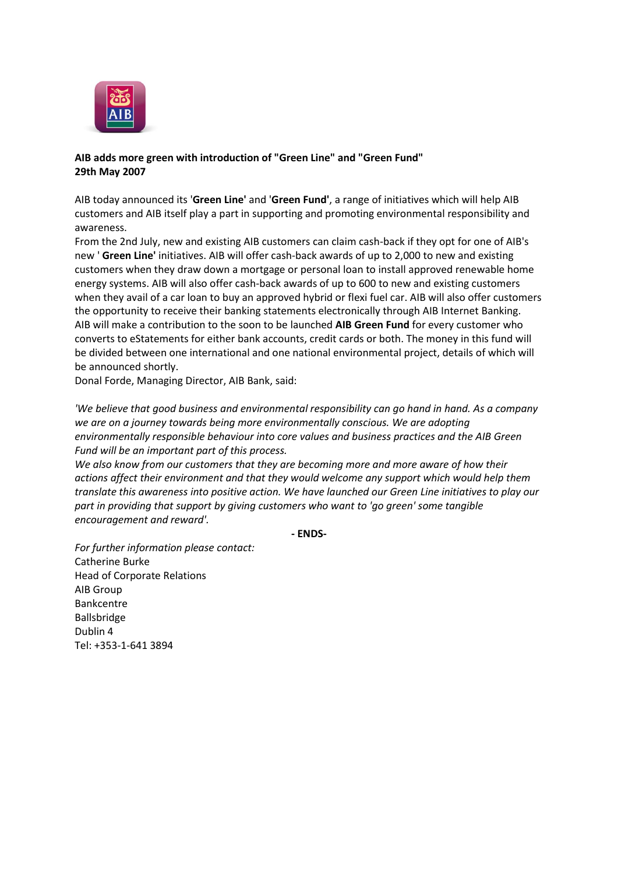

## **AIB adds more green with introduction of "Green Line" and "Green Fund" 29th May 2007**

AIB today announced its '**Green Line'** and '**Green Fund'**, a range of initiatives which will help AIB customers and AIB itself play a part in supporting and promoting environmental responsibility and awareness.

From the 2nd July, new and existing AIB customers can claim cash-back if they opt for one of AIB's new ' **Green Line'** initiatives. AIB will offer cash-back awards of up to 2,000 to new and existing customers when they draw down a mortgage or personal loan to install approved renewable home energy systems. AIB will also offer cash-back awards of up to 600 to new and existing customers when they avail of a car loan to buy an approved hybrid or flexi fuel car. AIB will also offer customers the opportunity to receive their banking statements electronically through AIB Internet Banking. AIB will make a contribution to the soon to be launched **AIB Green Fund** for every customer who converts to eStatements for either bank accounts, credit cards or both. The money in this fund will be divided between one international and one national environmental project, details of which will be announced shortly.

Donal Forde, Managing Director, AIB Bank, said:

*'We believe that good business and environmental responsibility can go hand in hand. As a company we are on a journey towards being more environmentally conscious. We are adopting environmentally responsible behaviour into core values and business practices and the AIB Green Fund will be an important part of this process.*

*We also know from our customers that they are becoming more and more aware of how their actions affect their environment and that they would welcome any support which would help them translate this awareness into positive action. We have launched our Green Line initiatives to play our part in providing that support by giving customers who want to 'go green' some tangible encouragement and reward'.*

**- ENDS-**

*For further information please contact:* Catherine Burke Head of Corporate Relations AIB Group Bankcentre Ballsbridge Dublin 4 Tel: +353-1-641 3894